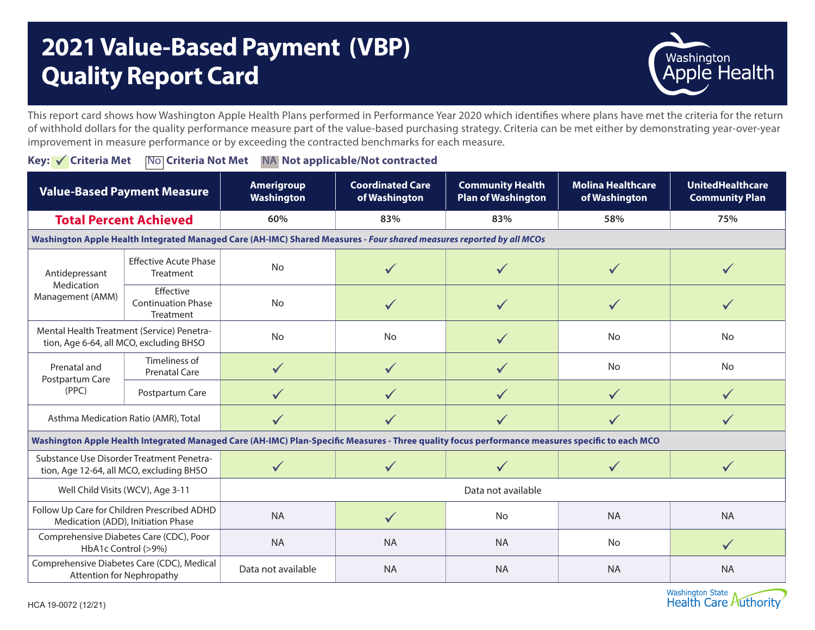## **2021 Value-Based Payment (VBP) Quality Report Card**



This report card shows how Washington Apple Health Plans performed in Performance Year 2020 which identifies where plans have met the criteria for the return of withhold dollars for the quality performance measure part of the value-based purchasing strategy. Criteria can be met either by demonstrating year-over-year improvement in measure performance or by exceeding the contracted benchmarks for each measure.

**Key: √ Criteria Met No Criteria Not Met NA Not applicable/Not contracted** 

| <b>Value-Based Payment Measure</b>                                                                                                              |                                                     | <b>Amerigroup</b><br>Washington | <b>Coordinated Care</b><br>of Washington | <b>Community Health</b><br><b>Plan of Washington</b> | <b>Molina Healthcare</b><br>of Washington | <b>UnitedHealthcare</b><br><b>Community Plan</b> |  |
|-------------------------------------------------------------------------------------------------------------------------------------------------|-----------------------------------------------------|---------------------------------|------------------------------------------|------------------------------------------------------|-------------------------------------------|--------------------------------------------------|--|
| <b>Total Percent Achieved</b>                                                                                                                   |                                                     | 60%                             | 83%                                      | 83%                                                  | 58%                                       | 75%                                              |  |
| Washington Apple Health Integrated Managed Care (AH-IMC) Shared Measures - Four shared measures reported by all MCOs                            |                                                     |                                 |                                          |                                                      |                                           |                                                  |  |
| Antidepressant<br>Medication<br>Management (AMM)                                                                                                | <b>Effective Acute Phase</b><br>Treatment           | <b>No</b>                       |                                          |                                                      |                                           |                                                  |  |
|                                                                                                                                                 | Effective<br><b>Continuation Phase</b><br>Treatment | <b>No</b>                       |                                          | ✓                                                    |                                           |                                                  |  |
| Mental Health Treatment (Service) Penetra-<br>tion, Age 6-64, all MCO, excluding BHSO                                                           |                                                     | <b>No</b>                       | <b>No</b>                                | $\checkmark$                                         | <b>No</b>                                 | <b>No</b>                                        |  |
| Prenatal and<br>Postpartum Care<br>(PPC)                                                                                                        | Timeliness of<br><b>Prenatal Care</b>               | $\checkmark$                    | $\checkmark$                             | $\checkmark$                                         | No                                        | No                                               |  |
|                                                                                                                                                 | Postpartum Care                                     | $\checkmark$                    |                                          | ✓                                                    | $\checkmark$                              |                                                  |  |
| Asthma Medication Ratio (AMR), Total                                                                                                            |                                                     |                                 |                                          |                                                      |                                           |                                                  |  |
| Washington Apple Health Integrated Managed Care (AH-IMC) Plan-Specific Measures - Three quality focus performance measures specific to each MCO |                                                     |                                 |                                          |                                                      |                                           |                                                  |  |
| Substance Use Disorder Treatment Penetra-<br>tion, Age 12-64, all MCO, excluding BHSO                                                           |                                                     | $\checkmark$                    |                                          |                                                      |                                           |                                                  |  |
| Well Child Visits (WCV), Age 3-11                                                                                                               |                                                     | Data not available              |                                          |                                                      |                                           |                                                  |  |
| Follow Up Care for Children Prescribed ADHD<br>Medication (ADD), Initiation Phase                                                               |                                                     | <b>NA</b>                       | $\checkmark$                             | No                                                   | <b>NA</b>                                 | <b>NA</b>                                        |  |
| Comprehensive Diabetes Care (CDC), Poor<br>HbA1c Control (>9%)                                                                                  |                                                     | <b>NA</b>                       | <b>NA</b>                                | <b>NA</b>                                            | No                                        | $\checkmark$                                     |  |
| Comprehensive Diabetes Care (CDC), Medical<br>Attention for Nephropathy                                                                         |                                                     | Data not available              | <b>NA</b>                                | <b>NA</b>                                            | <b>NA</b>                                 | <b>NA</b>                                        |  |

Washington State<br>Health Care Authority